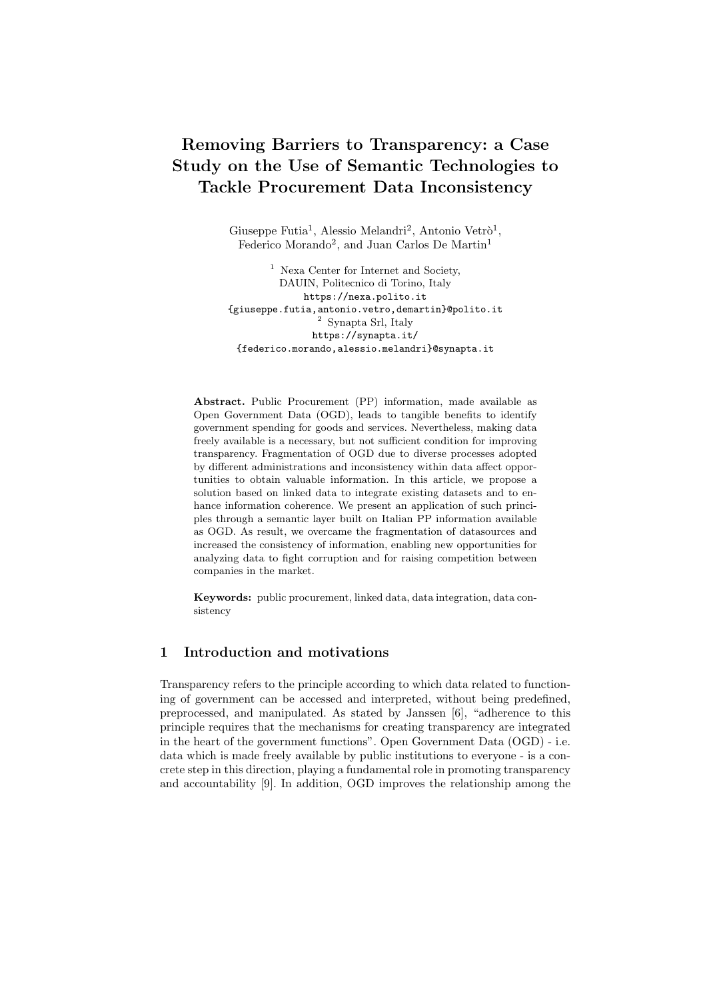# Removing Barriers to Transparency: a Case Study on the Use of Semantic Technologies to Tackle Procurement Data Inconsistency

Giuseppe Futia<sup>1</sup>, Alessio Melandri<sup>2</sup>, Antonio Vetrò<sup>1</sup>, Federico Morando<sup>2</sup>, and Juan Carlos De Martin<sup>1</sup>

<sup>1</sup> Nexa Center for Internet and Society, DAUIN, Politecnico di Torino, Italy https://nexa.polito.it {giuseppe.futia,antonio.vetro,demartin}@polito.it <sup>2</sup> Synapta Srl, Italy https://synapta.it/ {federico.morando,alessio.melandri}@synapta.it

Abstract. Public Procurement (PP) information, made available as Open Government Data (OGD), leads to tangible benefits to identify government spending for goods and services. Nevertheless, making data freely available is a necessary, but not sufficient condition for improving transparency. Fragmentation of OGD due to diverse processes adopted by different administrations and inconsistency within data affect opportunities to obtain valuable information. In this article, we propose a solution based on linked data to integrate existing datasets and to enhance information coherence. We present an application of such principles through a semantic layer built on Italian PP information available as OGD. As result, we overcame the fragmentation of datasources and increased the consistency of information, enabling new opportunities for analyzing data to fight corruption and for raising competition between companies in the market.

Keywords: public procurement, linked data, data integration, data consistency

# 1 Introduction and motivations

Transparency refers to the principle according to which data related to functioning of government can be accessed and interpreted, without being predefined, preprocessed, and manipulated. As stated by Janssen [6], "adherence to this principle requires that the mechanisms for creating transparency are integrated in the heart of the government functions". Open Government Data (OGD) - i.e. data which is made freely available by public institutions to everyone - is a concrete step in this direction, playing a fundamental role in promoting transparency and accountability [9]. In addition, OGD improves the relationship among the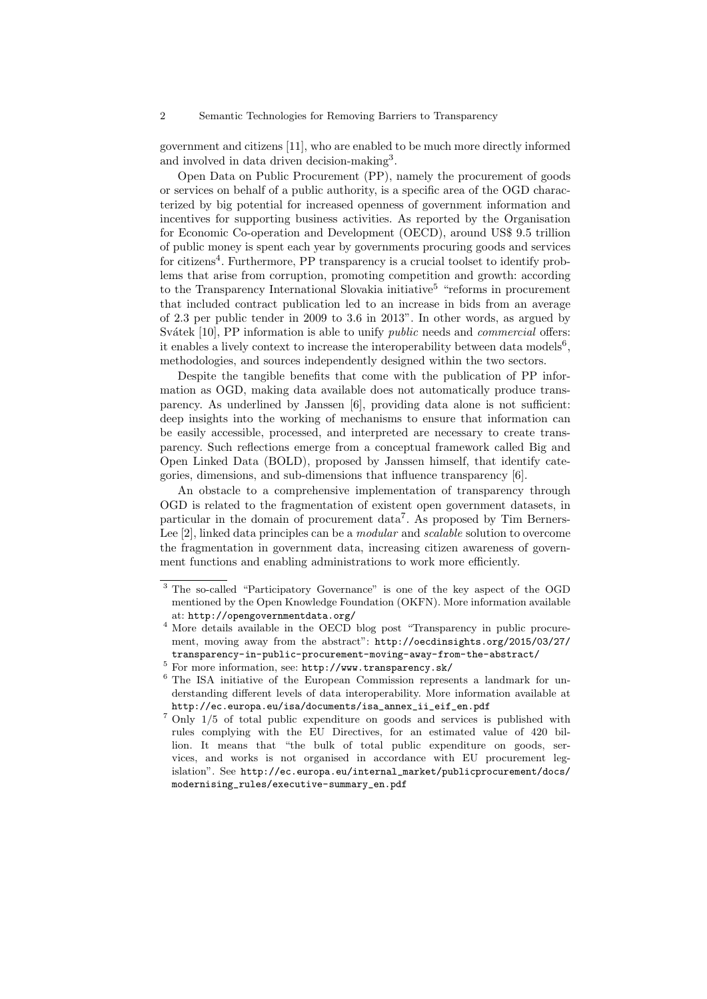government and citizens [11], who are enabled to be much more directly informed and involved in data driven decision-making<sup>3</sup> .

Open Data on Public Procurement (PP), namely the procurement of goods or services on behalf of a public authority, is a specific area of the OGD characterized by big potential for increased openness of government information and incentives for supporting business activities. As reported by the Organisation for Economic Co-operation and Development (OECD), around US\$ 9.5 trillion of public money is spent each year by governments procuring goods and services for citizens<sup>4</sup>. Furthermore, PP transparency is a crucial toolset to identify problems that arise from corruption, promoting competition and growth: according to the Transparency International Slovakia initiative<sup>5</sup> "reforms in procurement" that included contract publication led to an increase in bids from an average of 2.3 per public tender in 2009 to 3.6 in 2013". In other words, as argued by Svátek [10], PP information is able to unify *public* needs and *commercial* offers: it enables a lively context to increase the interoperability between data models<sup>6</sup>, methodologies, and sources independently designed within the two sectors.

Despite the tangible benefits that come with the publication of PP information as OGD, making data available does not automatically produce transparency. As underlined by Janssen [6], providing data alone is not sufficient: deep insights into the working of mechanisms to ensure that information can be easily accessible, processed, and interpreted are necessary to create transparency. Such reflections emerge from a conceptual framework called Big and Open Linked Data (BOLD), proposed by Janssen himself, that identify categories, dimensions, and sub-dimensions that influence transparency [6].

An obstacle to a comprehensive implementation of transparency through OGD is related to the fragmentation of existent open government datasets, in particular in the domain of procurement data<sup>7</sup>. As proposed by Tim Berners-Lee [2], linked data principles can be a modular and scalable solution to overcome the fragmentation in government data, increasing citizen awareness of government functions and enabling administrations to work more efficiently.

<sup>3</sup> The so-called "Participatory Governance" is one of the key aspect of the OGD mentioned by the Open Knowledge Foundation (OKFN). More information available at: http://opengovernmentdata.org/

<sup>4</sup> More details available in the OECD blog post "Transparency in public procurement, moving away from the abstract": http://oecdinsights.org/2015/03/27/ transparency-in-public-procurement-moving-away-from-the-abstract/

<sup>5</sup> For more information, see: http://www.transparency.sk/

<sup>6</sup> The ISA initiative of the European Commission represents a landmark for understanding different levels of data interoperability. More information available at http://ec.europa.eu/isa/documents/isa\_annex\_ii\_eif\_en.pdf

<sup>7</sup> Only 1/5 of total public expenditure on goods and services is published with rules complying with the EU Directives, for an estimated value of 420 billion. It means that "the bulk of total public expenditure on goods, services, and works is not organised in accordance with EU procurement legislation". See http://ec.europa.eu/internal\_market/publicprocurement/docs/ modernising\_rules/executive-summary\_en.pdf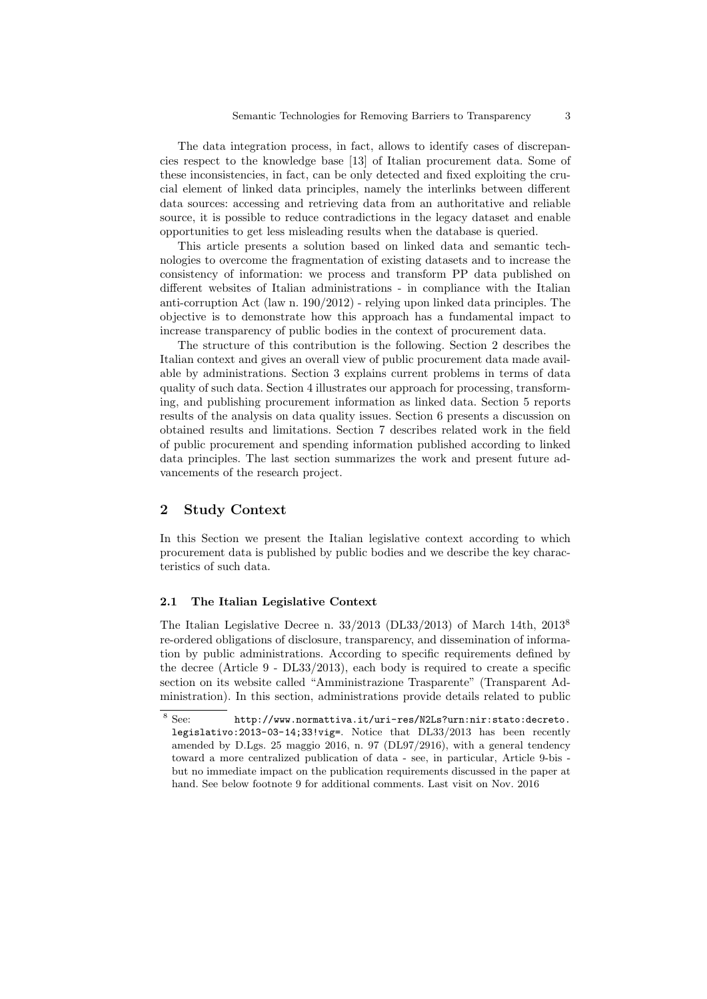The data integration process, in fact, allows to identify cases of discrepancies respect to the knowledge base [13] of Italian procurement data. Some of these inconsistencies, in fact, can be only detected and fixed exploiting the crucial element of linked data principles, namely the interlinks between different data sources: accessing and retrieving data from an authoritative and reliable source, it is possible to reduce contradictions in the legacy dataset and enable opportunities to get less misleading results when the database is queried.

This article presents a solution based on linked data and semantic technologies to overcome the fragmentation of existing datasets and to increase the consistency of information: we process and transform PP data published on different websites of Italian administrations - in compliance with the Italian anti-corruption Act (law n. 190/2012) - relying upon linked data principles. The objective is to demonstrate how this approach has a fundamental impact to increase transparency of public bodies in the context of procurement data.

The structure of this contribution is the following. Section 2 describes the Italian context and gives an overall view of public procurement data made available by administrations. Section 3 explains current problems in terms of data quality of such data. Section 4 illustrates our approach for processing, transforming, and publishing procurement information as linked data. Section 5 reports results of the analysis on data quality issues. Section 6 presents a discussion on obtained results and limitations. Section 7 describes related work in the field of public procurement and spending information published according to linked data principles. The last section summarizes the work and present future advancements of the research project.

## 2 Study Context

In this Section we present the Italian legislative context according to which procurement data is published by public bodies and we describe the key characteristics of such data.

### 2.1 The Italian Legislative Context

The Italian Legislative Decree n.  $33/2013$  (DL33/2013) of March 14th,  $2013^8$ re-ordered obligations of disclosure, transparency, and dissemination of information by public administrations. According to specific requirements defined by the decree (Article 9 - DL33/2013), each body is required to create a specific section on its website called "Amministrazione Trasparente" (Transparent Administration). In this section, administrations provide details related to public

 $\overline{\text{8} \text{ See:}}$  http://www.normattiva.it/uri-res/N2Ls?urn:nir:stato:decreto. legislativo:2013-03-14;33!vig=. Notice that DL33/2013 has been recently amended by D.Lgs. 25 maggio 2016, n. 97 (DL97/2916), with a general tendency toward a more centralized publication of data - see, in particular, Article 9-bis but no immediate impact on the publication requirements discussed in the paper at hand. See below footnote 9 for additional comments. Last visit on Nov. 2016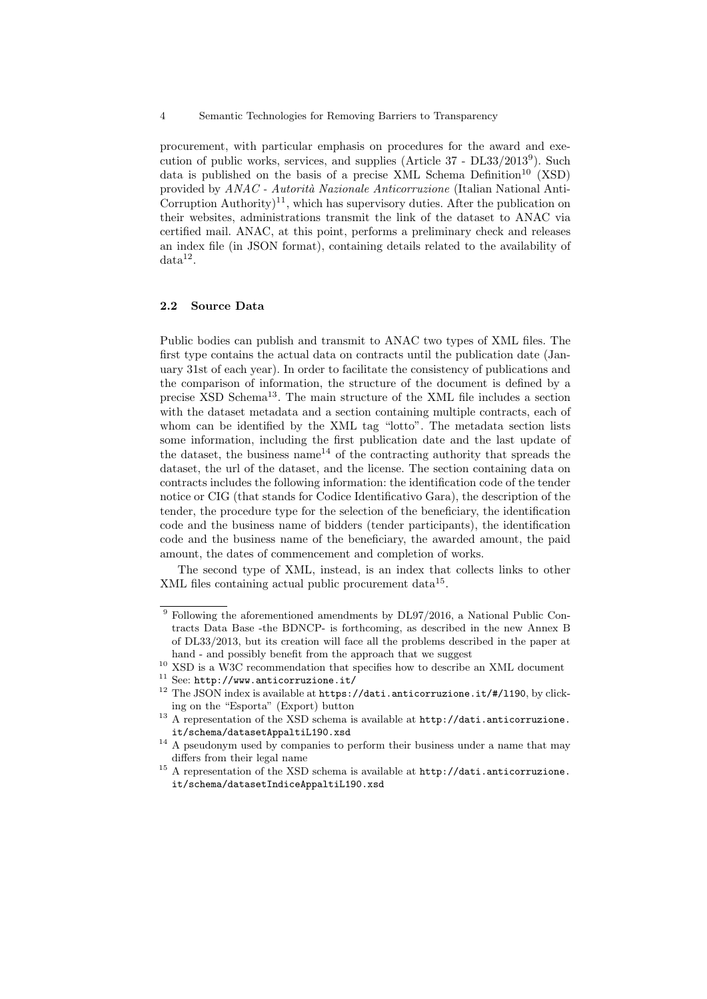procurement, with particular emphasis on procedures for the award and execution of public works, services, and supplies (Article 37 - DL33/2013<sup>9</sup> ). Such data is published on the basis of a precise XML Schema Definition<sup>10</sup> (XSD) provided by ANAC - Autorità Nazionale Anticorruzione (Italian National Anti-Corruption Authority)<sup>11</sup>, which has supervisory duties. After the publication on their websites, administrations transmit the link of the dataset to ANAC via certified mail. ANAC, at this point, performs a preliminary check and releases an index file (in JSON format), containing details related to the availability of  $data<sup>12</sup>$ .

## 2.2 Source Data

Public bodies can publish and transmit to ANAC two types of XML files. The first type contains the actual data on contracts until the publication date (January 31st of each year). In order to facilitate the consistency of publications and the comparison of information, the structure of the document is defined by a precise XSD Schema<sup>13</sup>. The main structure of the XML file includes a section with the dataset metadata and a section containing multiple contracts, each of whom can be identified by the XML tag "lotto". The metadata section lists some information, including the first publication date and the last update of the dataset, the business name  $14$  of the contracting authority that spreads the dataset, the url of the dataset, and the license. The section containing data on contracts includes the following information: the identification code of the tender notice or CIG (that stands for Codice Identificativo Gara), the description of the tender, the procedure type for the selection of the beneficiary, the identification code and the business name of bidders (tender participants), the identification code and the business name of the beneficiary, the awarded amount, the paid amount, the dates of commencement and completion of works.

The second type of XML, instead, is an index that collects links to other XML files containing actual public procurement data<sup>15</sup>.

<sup>9</sup> Following the aforementioned amendments by DL97/2016, a National Public Contracts Data Base -the BDNCP- is forthcoming, as described in the new Annex B of DL33/2013, but its creation will face all the problems described in the paper at hand - and possibly benefit from the approach that we suggest

 $^{10}$  XSD is a W3C recommendation that specifies how to describe an XML document

 $11$  See: http://www.anticorruzione.it/

<sup>&</sup>lt;sup>12</sup> The JSON index is available at https://dati.anticorruzione.it/#/1190, by clicking on the "Esporta" (Export) button

<sup>&</sup>lt;sup>13</sup> A representation of the XSD schema is available at  $http://dati.anticorruzione.$ it/schema/datasetAppaltiL190.xsd

 $14$  A pseudonym used by companies to perform their business under a name that may differs from their legal name

<sup>&</sup>lt;sup>15</sup> A representation of the XSD schema is available at **http://dati.anticorruzione.** it/schema/datasetIndiceAppaltiL190.xsd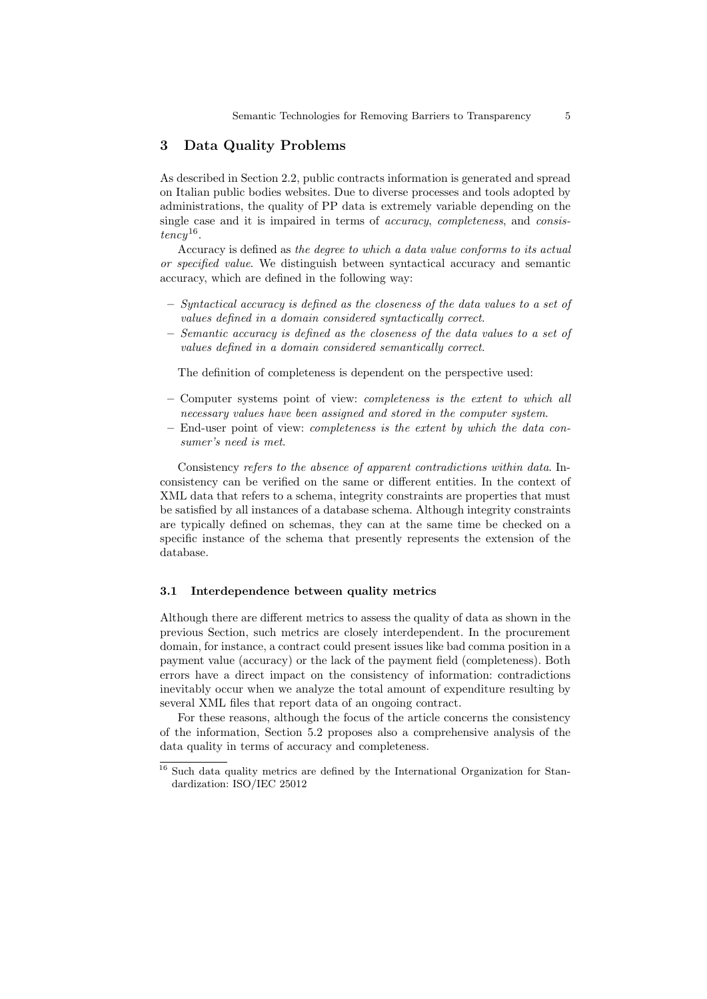# 3 Data Quality Problems

As described in Section 2.2, public contracts information is generated and spread on Italian public bodies websites. Due to diverse processes and tools adopted by administrations, the quality of PP data is extremely variable depending on the single case and it is impaired in terms of *accuracy*, *completeness*, and *consis* $tency^{16}$ .

Accuracy is defined as the degree to which a data value conforms to its actual or specified value. We distinguish between syntactical accuracy and semantic accuracy, which are defined in the following way:

- Syntactical accuracy is defined as the closeness of the data values to a set of values defined in a domain considered syntactically correct.
- Semantic accuracy is defined as the closeness of the data values to a set of values defined in a domain considered semantically correct.

The definition of completeness is dependent on the perspective used:

- Computer systems point of view: completeness is the extent to which all necessary values have been assigned and stored in the computer system.
- End-user point of view: completeness is the extent by which the data consumer's need is met.

Consistency refers to the absence of apparent contradictions within data. Inconsistency can be verified on the same or different entities. In the context of XML data that refers to a schema, integrity constraints are properties that must be satisfied by all instances of a database schema. Although integrity constraints are typically defined on schemas, they can at the same time be checked on a specific instance of the schema that presently represents the extension of the database.

### 3.1 Interdependence between quality metrics

Although there are different metrics to assess the quality of data as shown in the previous Section, such metrics are closely interdependent. In the procurement domain, for instance, a contract could present issues like bad comma position in a payment value (accuracy) or the lack of the payment field (completeness). Both errors have a direct impact on the consistency of information: contradictions inevitably occur when we analyze the total amount of expenditure resulting by several XML files that report data of an ongoing contract.

For these reasons, although the focus of the article concerns the consistency of the information, Section 5.2 proposes also a comprehensive analysis of the data quality in terms of accuracy and completeness.

<sup>16</sup> Such data quality metrics are defined by the International Organization for Standardization: ISO/IEC 25012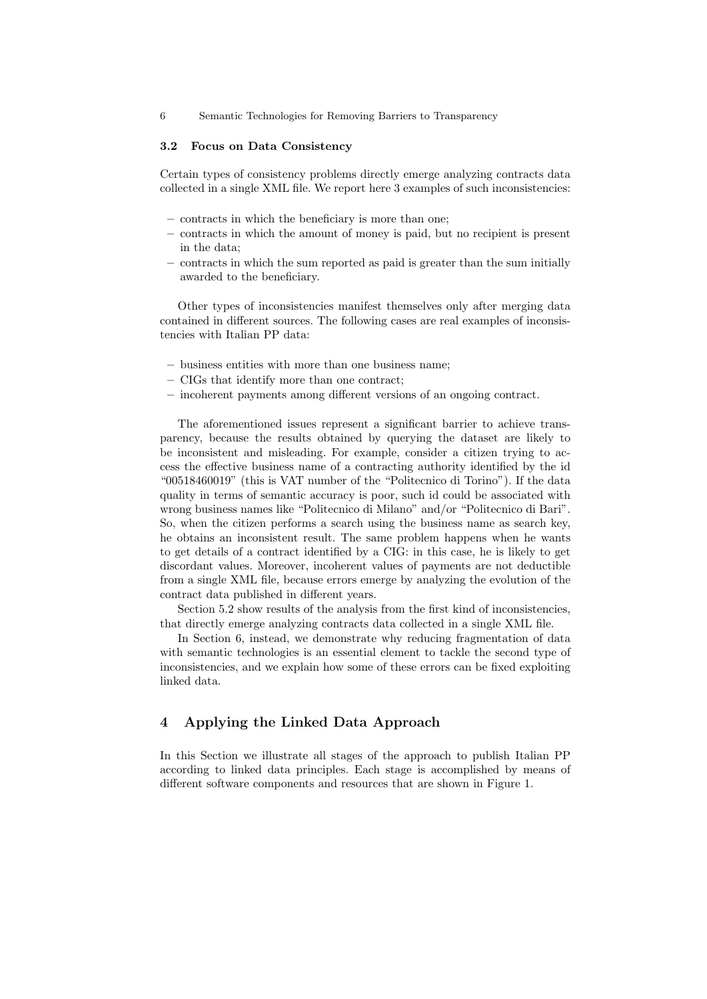#### 3.2 Focus on Data Consistency

Certain types of consistency problems directly emerge analyzing contracts data collected in a single XML file. We report here 3 examples of such inconsistencies:

- contracts in which the beneficiary is more than one;
- contracts in which the amount of money is paid, but no recipient is present in the data;
- contracts in which the sum reported as paid is greater than the sum initially awarded to the beneficiary.

Other types of inconsistencies manifest themselves only after merging data contained in different sources. The following cases are real examples of inconsistencies with Italian PP data:

- business entities with more than one business name;
- CIGs that identify more than one contract;
- incoherent payments among different versions of an ongoing contract.

The aforementioned issues represent a significant barrier to achieve transparency, because the results obtained by querying the dataset are likely to be inconsistent and misleading. For example, consider a citizen trying to access the effective business name of a contracting authority identified by the id "00518460019" (this is VAT number of the "Politecnico di Torino"). If the data quality in terms of semantic accuracy is poor, such id could be associated with wrong business names like "Politecnico di Milano" and/or "Politecnico di Bari". So, when the citizen performs a search using the business name as search key, he obtains an inconsistent result. The same problem happens when he wants to get details of a contract identified by a CIG: in this case, he is likely to get discordant values. Moreover, incoherent values of payments are not deductible from a single XML file, because errors emerge by analyzing the evolution of the contract data published in different years.

Section 5.2 show results of the analysis from the first kind of inconsistencies, that directly emerge analyzing contracts data collected in a single XML file.

In Section 6, instead, we demonstrate why reducing fragmentation of data with semantic technologies is an essential element to tackle the second type of inconsistencies, and we explain how some of these errors can be fixed exploiting linked data.

# 4 Applying the Linked Data Approach

In this Section we illustrate all stages of the approach to publish Italian PP according to linked data principles. Each stage is accomplished by means of different software components and resources that are shown in Figure 1.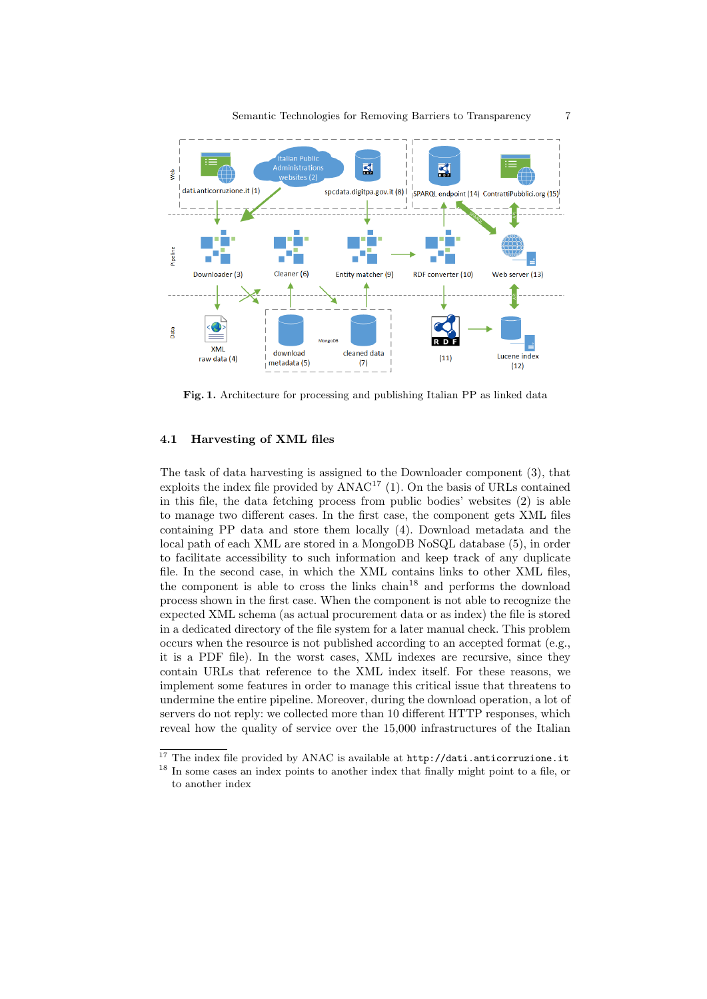

Fig. 1. Architecture for processing and publishing Italian PP as linked data

#### 4.1 Harvesting of XML files

The task of data harvesting is assigned to the Downloader component (3), that exploits the index file provided by  $\text{ANAC}^{17}(1)$ . On the basis of URLs contained in this file, the data fetching process from public bodies' websites (2) is able to manage two different cases. In the first case, the component gets XML files containing PP data and store them locally (4). Download metadata and the local path of each XML are stored in a MongoDB NoSQL database (5), in order to facilitate accessibility to such information and keep track of any duplicate file. In the second case, in which the XML contains links to other XML files, the component is able to cross the links chain<sup>18</sup> and performs the download process shown in the first case. When the component is not able to recognize the expected XML schema (as actual procurement data or as index) the file is stored in a dedicated directory of the file system for a later manual check. This problem occurs when the resource is not published according to an accepted format (e.g., it is a PDF file). In the worst cases, XML indexes are recursive, since they contain URLs that reference to the XML index itself. For these reasons, we implement some features in order to manage this critical issue that threatens to undermine the entire pipeline. Moreover, during the download operation, a lot of servers do not reply: we collected more than 10 different HTTP responses, which reveal how the quality of service over the 15,000 infrastructures of the Italian

 $17$  The index file provided by ANAC is available at  $http://dati.anticorruzione.it$ 

<sup>&</sup>lt;sup>18</sup> In some cases an index points to another index that finally might point to a file, or to another index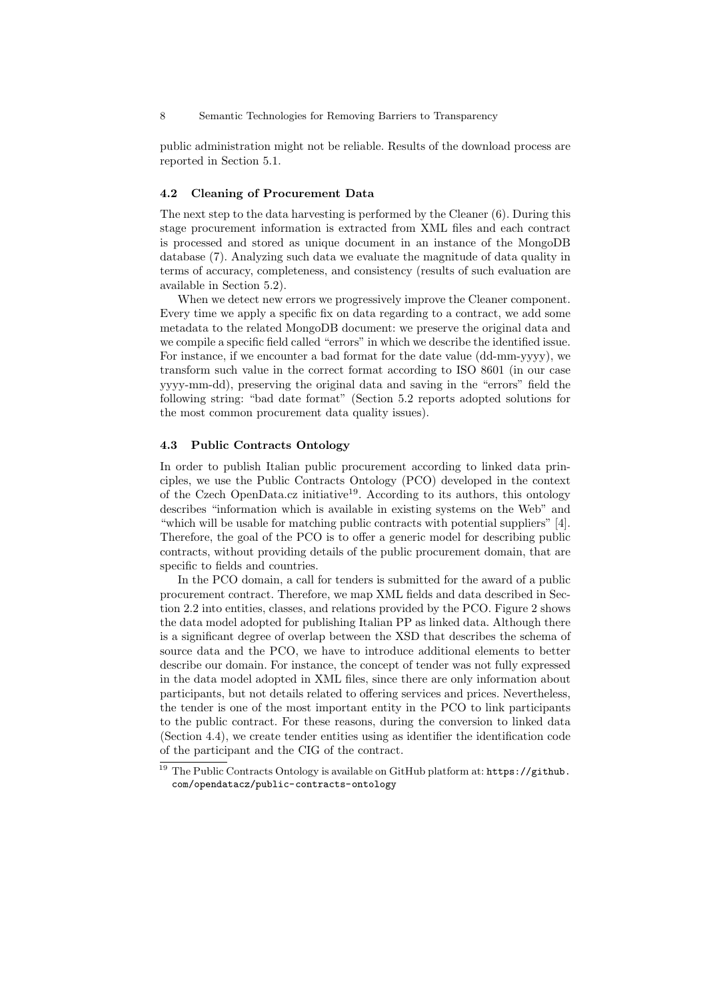public administration might not be reliable. Results of the download process are reported in Section 5.1.

#### 4.2 Cleaning of Procurement Data

The next step to the data harvesting is performed by the Cleaner (6). During this stage procurement information is extracted from XML files and each contract is processed and stored as unique document in an instance of the MongoDB database (7). Analyzing such data we evaluate the magnitude of data quality in terms of accuracy, completeness, and consistency (results of such evaluation are available in Section 5.2).

When we detect new errors we progressively improve the Cleaner component. Every time we apply a specific fix on data regarding to a contract, we add some metadata to the related MongoDB document: we preserve the original data and we compile a specific field called "errors" in which we describe the identified issue. For instance, if we encounter a bad format for the date value (dd-mm-yyyy), we transform such value in the correct format according to ISO 8601 (in our case yyyy-mm-dd), preserving the original data and saving in the "errors" field the following string: "bad date format" (Section 5.2 reports adopted solutions for the most common procurement data quality issues).

#### 4.3 Public Contracts Ontology

In order to publish Italian public procurement according to linked data principles, we use the Public Contracts Ontology (PCO) developed in the context of the Czech OpenData.cz initiative<sup>19</sup>. According to its authors, this ontology describes "information which is available in existing systems on the Web" and "which will be usable for matching public contracts with potential suppliers" [4]. Therefore, the goal of the PCO is to offer a generic model for describing public contracts, without providing details of the public procurement domain, that are specific to fields and countries.

In the PCO domain, a call for tenders is submitted for the award of a public procurement contract. Therefore, we map XML fields and data described in Section 2.2 into entities, classes, and relations provided by the PCO. Figure 2 shows the data model adopted for publishing Italian PP as linked data. Although there is a significant degree of overlap between the XSD that describes the schema of source data and the PCO, we have to introduce additional elements to better describe our domain. For instance, the concept of tender was not fully expressed in the data model adopted in XML files, since there are only information about participants, but not details related to offering services and prices. Nevertheless, the tender is one of the most important entity in the PCO to link participants to the public contract. For these reasons, during the conversion to linked data (Section 4.4), we create tender entities using as identifier the identification code of the participant and the CIG of the contract.

 $^{19}$  The Public Contracts Ontology is available on GitHub platform at:  $\verb|https://github.|$ com/opendatacz/public-contracts-ontology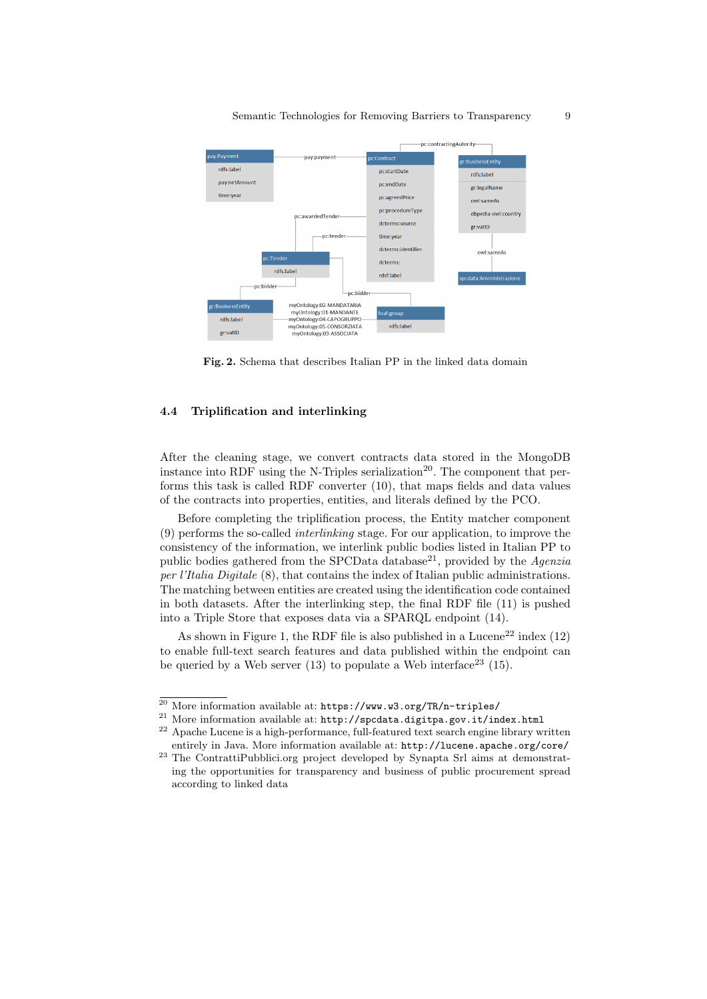

Fig. 2. Schema that describes Italian PP in the linked data domain

## 4.4 Triplification and interlinking

After the cleaning stage, we convert contracts data stored in the MongoDB instance into RDF using the N-Triples serialization<sup>20</sup>. The component that performs this task is called RDF converter (10), that maps fields and data values of the contracts into properties, entities, and literals defined by the PCO.

Before completing the triplification process, the Entity matcher component (9) performs the so-called interlinking stage. For our application, to improve the consistency of the information, we interlink public bodies listed in Italian PP to public bodies gathered from the SPCData database<sup>21</sup>, provided by the Agenzia per l'Italia Digitale (8), that contains the index of Italian public administrations. The matching between entities are created using the identification code contained in both datasets. After the interlinking step, the final RDF file (11) is pushed into a Triple Store that exposes data via a SPARQL endpoint (14).

As shown in Figure 1, the RDF file is also published in a Lucene<sup>22</sup> index (12) to enable full-text search features and data published within the endpoint can be queried by a Web server  $(13)$  to populate a Web interface<sup>23</sup>  $(15)$ .

 $\frac{20}{20}$  More information available at: https://www.w3.org/TR/n-triples/

 $^{21}$  More information available at:  ${\tt http://spcdata.digitpa.gov.it/index.html}$ 

<sup>22</sup> Apache Lucene is a high-performance, full-featured text search engine library written entirely in Java. More information available at: http://lucene.apache.org/core/

<sup>23</sup> The ContrattiPubblici.org project developed by Synapta Srl aims at demonstrating the opportunities for transparency and business of public procurement spread according to linked data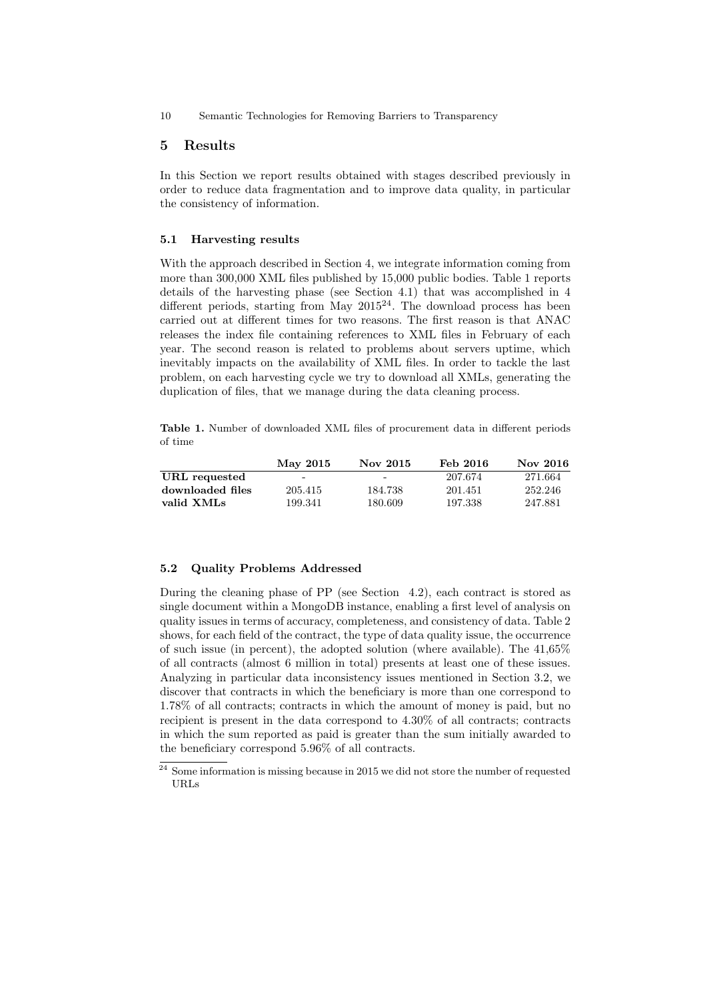#### 5 Results

In this Section we report results obtained with stages described previously in order to reduce data fragmentation and to improve data quality, in particular the consistency of information.

# 5.1 Harvesting results

With the approach described in Section 4, we integrate information coming from more than 300,000 XML files published by 15,000 public bodies. Table 1 reports details of the harvesting phase (see Section 4.1) that was accomplished in 4 different periods, starting from May  $2015^{24}$ . The download process has been carried out at different times for two reasons. The first reason is that ANAC releases the index file containing references to XML files in February of each year. The second reason is related to problems about servers uptime, which inevitably impacts on the availability of XML files. In order to tackle the last problem, on each harvesting cycle we try to download all XMLs, generating the duplication of files, that we manage during the data cleaning process.

Table 1. Number of downloaded XML files of procurement data in different periods of time

|                  | May 2015                 | Nov 2015                 | Feb 2016 | <b>Nov 2016</b> |
|------------------|--------------------------|--------------------------|----------|-----------------|
| URL requested    | $\overline{\phantom{0}}$ | $\overline{\phantom{0}}$ | 207.674  | 271.664         |
| downloaded files | 205.415                  | 184.738                  | 201.451  | 252.246         |
| valid XMLs       | 199.341                  | 180.609                  | 197.338  | 247.881         |

## 5.2 Quality Problems Addressed

During the cleaning phase of PP (see Section 4.2), each contract is stored as single document within a MongoDB instance, enabling a first level of analysis on quality issues in terms of accuracy, completeness, and consistency of data. Table 2 shows, for each field of the contract, the type of data quality issue, the occurrence of such issue (in percent), the adopted solution (where available). The 41,65% of all contracts (almost 6 million in total) presents at least one of these issues. Analyzing in particular data inconsistency issues mentioned in Section 3.2, we discover that contracts in which the beneficiary is more than one correspond to 1.78% of all contracts; contracts in which the amount of money is paid, but no recipient is present in the data correspond to 4.30% of all contracts; contracts in which the sum reported as paid is greater than the sum initially awarded to the beneficiary correspond 5.96% of all contracts.

 $^{24}$  Some information is missing because in 2015 we did not store the number of requested URLs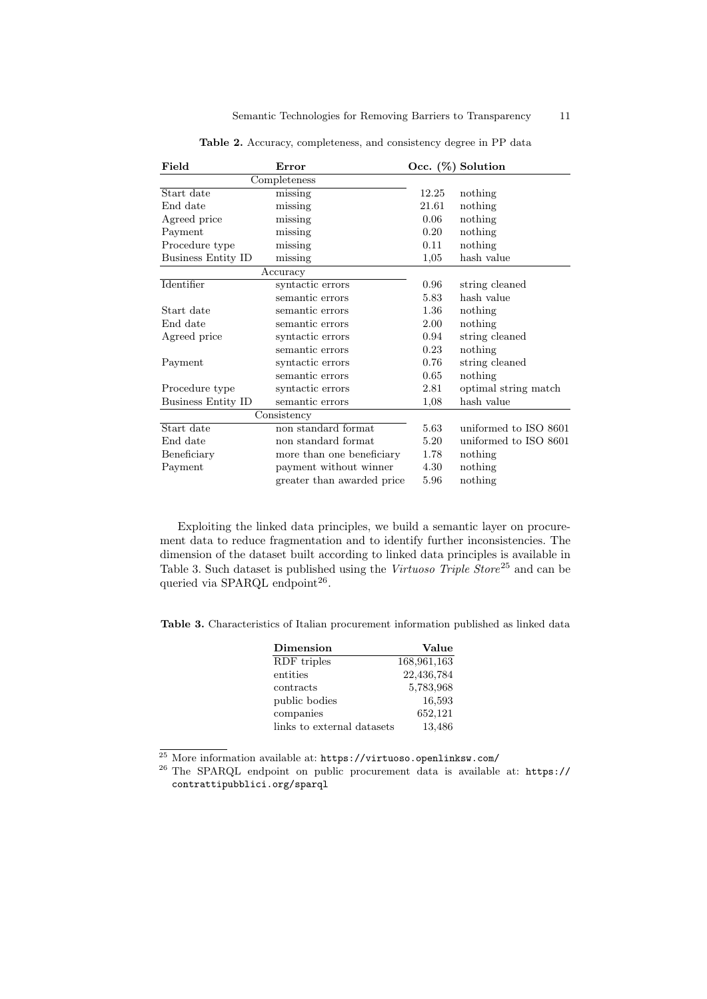| Field                     | Error                      |       | Occ. $(\%)$ Solution  |
|---------------------------|----------------------------|-------|-----------------------|
|                           | Completeness               |       |                       |
| Start date                | missing                    | 12.25 | nothing               |
| End date                  | missing                    | 21.61 | nothing               |
| Agreed price              | missing                    | 0.06  | nothing               |
| Payment                   | missing                    | 0.20  | nothing               |
| Procedure type            | missing                    | 0.11  | nothing               |
| <b>Business Entity ID</b> | missing                    | 1,05  | hash value            |
|                           | Accuracy                   |       |                       |
| Identifier                | syntactic errors           | 0.96  | string cleaned        |
|                           | semantic errors            | 5.83  | hash value            |
| Start date                | semantic errors            | 1.36  | nothing               |
| End date                  | semantic errors            | 2.00  | nothing               |
| Agreed price              | syntactic errors           | 0.94  | string cleaned        |
|                           | semantic errors            | 0.23  | nothing               |
| Payment                   | syntactic errors           | 0.76  | string cleaned        |
|                           | semantic errors            | 0.65  | nothing               |
| Procedure type            | syntactic errors           | 2.81  | optimal string match  |
| Business Entity ID        | semantic errors            | 1,08  | hash value            |
| Consistency               |                            |       |                       |
| Start date                | non standard format        | 5.63  | uniformed to ISO 8601 |
| End date                  | non standard format        | 5.20  | uniformed to ISO 8601 |
| Beneficiary               | more than one beneficiary  | 1.78  | nothing               |
| Payment                   | payment without winner     | 4.30  | nothing               |
|                           | greater than awarded price | 5.96  | nothing               |

Table 2. Accuracy, completeness, and consistency degree in PP data

Exploiting the linked data principles, we build a semantic layer on procurement data to reduce fragmentation and to identify further inconsistencies. The dimension of the dataset built according to linked data principles is available in Table 3. Such dataset is published using the Virtuoso Triple Store<sup>25</sup> and can be queried via SPARQL endpoint<sup>26</sup>.

Table 3. Characteristics of Italian procurement information published as linked data

| <b>Dimension</b>           | <b>Value</b> |
|----------------------------|--------------|
| RDF triples                | 168,961,163  |
| entities                   | 22,436,784   |
| contracts                  | 5,783,968    |
| public bodies              | 16,593       |
| companies                  | 652,121      |
| links to external datasets | 13,486       |

<sup>25</sup> More information available at: https://virtuoso.openlinksw.com/

<sup>26</sup> The SPARQL endpoint on public procurement data is available at: https:// contrattipubblici.org/sparql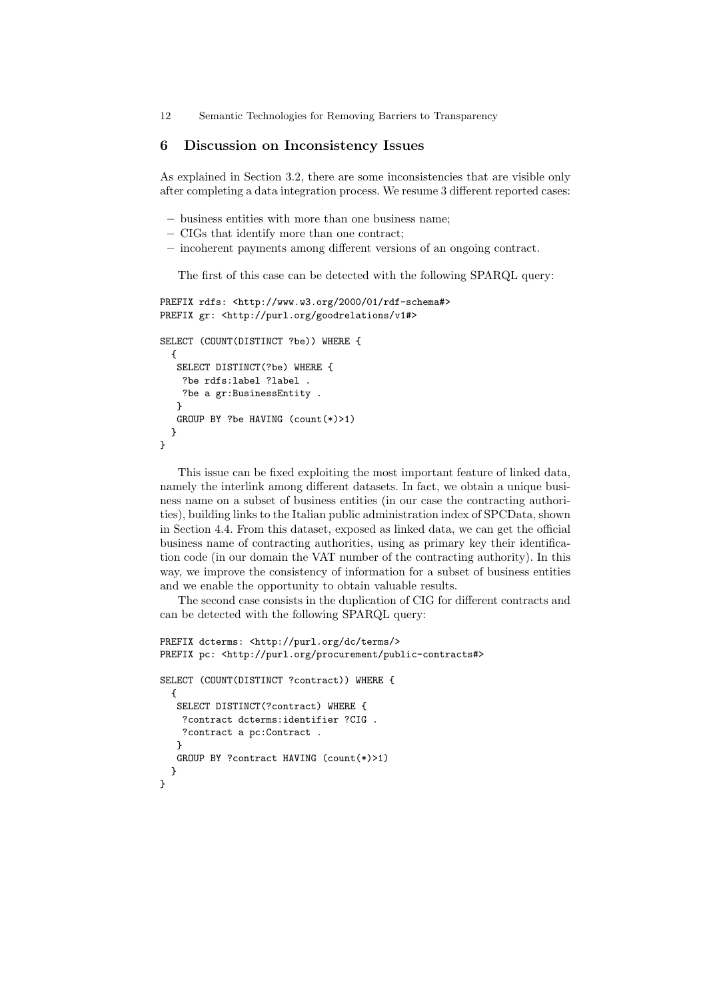#### 6 Discussion on Inconsistency Issues

As explained in Section 3.2, there are some inconsistencies that are visible only after completing a data integration process. We resume 3 different reported cases:

- business entities with more than one business name;
- CIGs that identify more than one contract;
- incoherent payments among different versions of an ongoing contract.

The first of this case can be detected with the following SPARQL query:

```
PREFIX rdfs: <http://www.w3.org/2000/01/rdf-schema#>
PREFIX gr: <http://purl.org/goodrelations/v1#>
SELECT (COUNT(DISTINCT ?be)) WHERE {
 {
   SELECT DISTINCT(?be) WHERE {
    ?be rdfs:label ?label .
    ?be a gr:BusinessEntity .
   }
   GROUP BY ?be HAVING (count(*)>1)
 }
}
```
This issue can be fixed exploiting the most important feature of linked data, namely the interlink among different datasets. In fact, we obtain a unique business name on a subset of business entities (in our case the contracting authorities), building links to the Italian public administration index of SPCData, shown in Section 4.4. From this dataset, exposed as linked data, we can get the official business name of contracting authorities, using as primary key their identification code (in our domain the VAT number of the contracting authority). In this way, we improve the consistency of information for a subset of business entities and we enable the opportunity to obtain valuable results.

The second case consists in the duplication of CIG for different contracts and can be detected with the following SPARQL query:

```
PREFIX dcterms: <http://purl.org/dc/terms/>
PREFIX pc: <http://purl.org/procurement/public-contracts#>
SELECT (COUNT(DISTINCT ?contract)) WHERE {
 {
  SELECT DISTINCT(?contract) WHERE {
    ?contract dcterms:identifier ?CIG .
    ?contract a pc:Contract .
   }
  GROUP BY ?contract HAVING (count(*)>1)
 }
}
```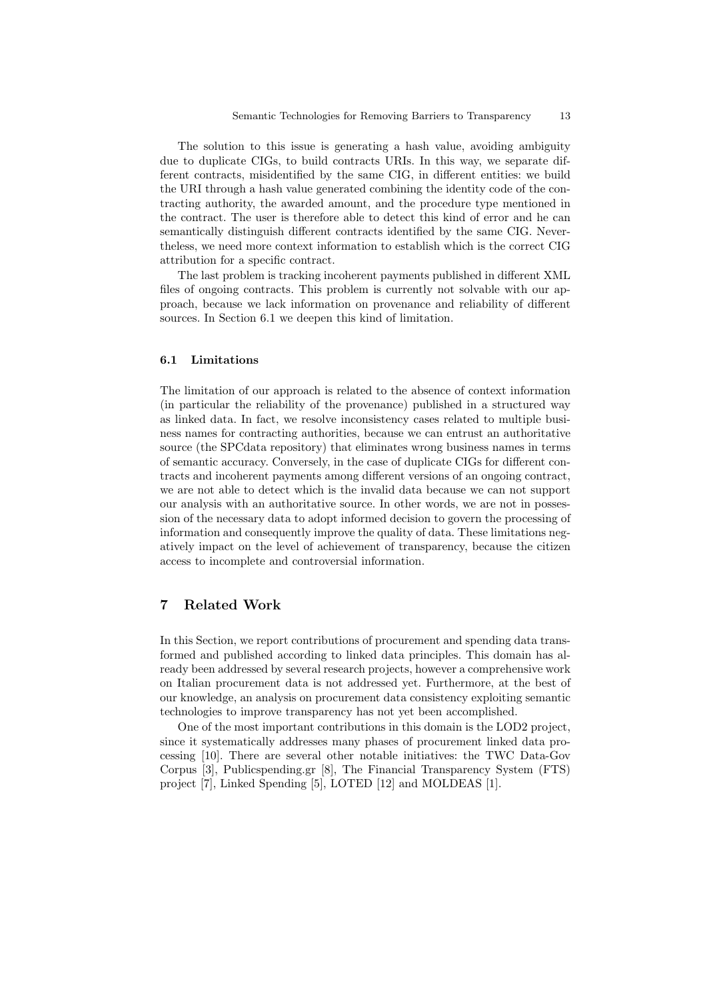The solution to this issue is generating a hash value, avoiding ambiguity due to duplicate CIGs, to build contracts URIs. In this way, we separate different contracts, misidentified by the same CIG, in different entities: we build the URI through a hash value generated combining the identity code of the contracting authority, the awarded amount, and the procedure type mentioned in the contract. The user is therefore able to detect this kind of error and he can semantically distinguish different contracts identified by the same CIG. Nevertheless, we need more context information to establish which is the correct CIG attribution for a specific contract.

The last problem is tracking incoherent payments published in different XML files of ongoing contracts. This problem is currently not solvable with our approach, because we lack information on provenance and reliability of different sources. In Section 6.1 we deepen this kind of limitation.

#### 6.1 Limitations

The limitation of our approach is related to the absence of context information (in particular the reliability of the provenance) published in a structured way as linked data. In fact, we resolve inconsistency cases related to multiple business names for contracting authorities, because we can entrust an authoritative source (the SPCdata repository) that eliminates wrong business names in terms of semantic accuracy. Conversely, in the case of duplicate CIGs for different contracts and incoherent payments among different versions of an ongoing contract, we are not able to detect which is the invalid data because we can not support our analysis with an authoritative source. In other words, we are not in possession of the necessary data to adopt informed decision to govern the processing of information and consequently improve the quality of data. These limitations negatively impact on the level of achievement of transparency, because the citizen access to incomplete and controversial information.

# 7 Related Work

In this Section, we report contributions of procurement and spending data transformed and published according to linked data principles. This domain has already been addressed by several research projects, however a comprehensive work on Italian procurement data is not addressed yet. Furthermore, at the best of our knowledge, an analysis on procurement data consistency exploiting semantic technologies to improve transparency has not yet been accomplished.

One of the most important contributions in this domain is the LOD2 project, since it systematically addresses many phases of procurement linked data processing [10]. There are several other notable initiatives: the TWC Data-Gov Corpus [3], Publicspending.gr [8], The Financial Transparency System (FTS) project [7], Linked Spending [5], LOTED [12] and MOLDEAS [1].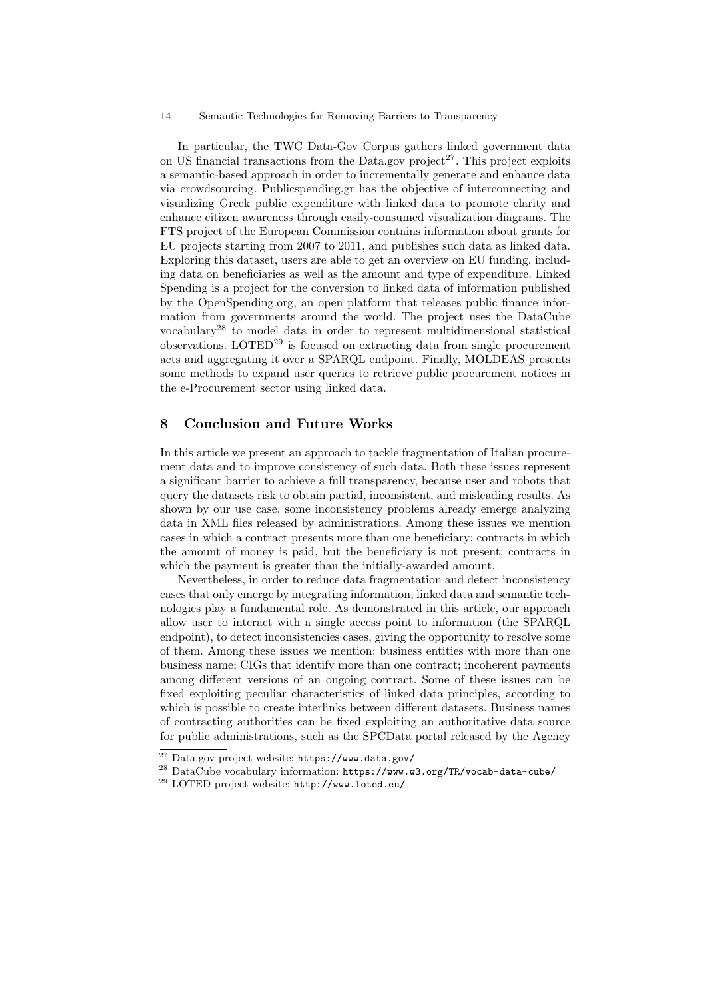In particular, the TWC Data-Gov Corpus gathers linked government data on US financial transactions from the Data.gov project<sup>27</sup>. This project exploits a semantic-based approach in order to incrementally generate and enhance data via crowdsourcing. Publicspending.gr has the objective of interconnecting and visualizing Greek public expenditure with linked data to promote clarity and enhance citizen awareness through easily-consumed visualization diagrams. The FTS project of the European Commission contains information about grants for EU projects starting from 2007 to 2011, and publishes such data as linked data. Exploring this dataset, users are able to get an overview on EU funding, including data on beneficiaries as well as the amount and type of expenditure. Linked Spending is a project for the conversion to linked data of information published by the OpenSpending.org, an open platform that releases public finance information from governments around the world. The project uses the DataCube vocabulary<sup>28</sup> to model data in order to represent multidimensional statistical observations. LOTED<sup>29</sup> is focused on extracting data from single procurement acts and aggregating it over a SPARQL endpoint. Finally, MOLDEAS presents some methods to expand user queries to retrieve public procurement notices in the e-Procurement sector using linked data.

# 8 Conclusion and Future Works

In this article we present an approach to tackle fragmentation of Italian procurement data and to improve consistency of such data. Both these issues represent a significant barrier to achieve a full transparency, because user and robots that query the datasets risk to obtain partial, inconsistent, and misleading results. As shown by our use case, some inconsistency problems already emerge analyzing data in XML files released by administrations. Among these issues we mention cases in which a contract presents more than one beneficiary; contracts in which the amount of money is paid, but the beneficiary is not present; contracts in which the payment is greater than the initially-awarded amount.

Nevertheless, in order to reduce data fragmentation and detect inconsistency cases that only emerge by integrating information, linked data and semantic technologies play a fundamental role. As demonstrated in this article, our approach allow user to interact with a single access point to information (the SPARQL endpoint), to detect inconsistencies cases, giving the opportunity to resolve some of them. Among these issues we mention: business entities with more than one business name; CIGs that identify more than one contract; incoherent payments among different versions of an ongoing contract. Some of these issues can be fixed exploiting peculiar characteristics of linked data principles, according to which is possible to create interlinks between different datasets. Business names of contracting authorities can be fixed exploiting an authoritative data source for public administrations, such as the SPCData portal released by the Agency

<sup>28</sup> DataCube vocabulary information: https://www.w3.org/TR/vocab-data-cube/

<sup>27</sup> Data.gov project website: https://www.data.gov/

<sup>29</sup> LOTED project website: http://www.loted.eu/